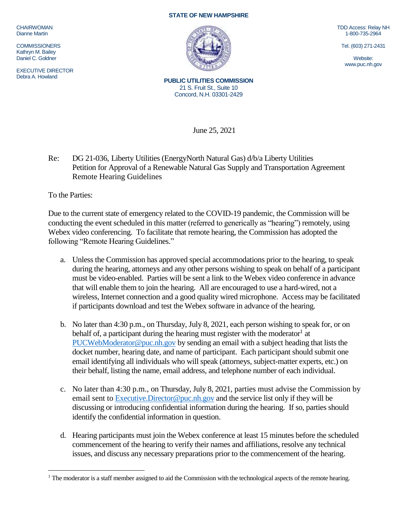CHAIRWOMAN Dianne Martin

**COMMISSIONERS** Kathryn M. Bailey Daniel C. Goldner

EXECUTIVE DIRECTOR Debra A. Howland

## **STATE OF NEW HAMPSHIRE**



TDD Access: Relay NH 1-800-735-2964

Tel. (603) 271-2431

Website: www.puc.nh.gov

**PUBLIC UTILITIES COMMISSION** 21 S. Fruit St., Suite 10 Concord, N.H. 03301-2429

June 25, 2021

Re: DG 21-036, Liberty Utilities (EnergyNorth Natural Gas) d/b/a Liberty Utilities Petition for Approval of a Renewable Natural Gas Supply and Transportation Agreement Remote Hearing Guidelines

To the Parties:

 $\overline{a}$ 

Due to the current state of emergency related to the COVID-19 pandemic, the Commission will be conducting the event scheduled in this matter (referred to generically as "hearing") remotely, using Webex video conferencing. To facilitate that remote hearing, the Commission has adopted the following "Remote Hearing Guidelines."

- a. Unless the Commission has approved special accommodations prior to the hearing, to speak during the hearing, attorneys and any other persons wishing to speak on behalf of a participant must be video-enabled. Parties will be sent a link to the Webex video conference in advance that will enable them to join the hearing. All are encouraged to use a hard-wired, not a wireless, Internet connection and a good quality wired microphone. Access may be facilitated if participants download and test the Webex software in advance of the hearing.
- b. No later than 4:30 p.m., on Thursday, July 8, 2021, each person wishing to speak for, or on behalf of, a participant during the hearing must register with the moderator<sup>1</sup> at [PUCWebModerator@puc.nh.gov](mailto:PUCWebModerator@puc.nh.gov) by sending an email with a subject heading that lists the docket number, hearing date, and name of participant. Each participant should submit one email identifying all individuals who will speak (attorneys, subject-matter experts, etc.) on their behalf, listing the name, email address, and telephone number of each individual.
- c. No later than 4:30 p.m., on Thursday, July 8, 2021, parties must advise the Commission by email sent to [Executive.Director@puc.nh.gov](mailto:Executive.Director@puc.nh.gov) and the service list only if they will be discussing or introducing confidential information during the hearing. If so, parties should identify the confidential information in question.
- d. Hearing participants must join the Webex conference at least 15 minutes before the scheduled commencement of the hearing to verify their names and affiliations, resolve any technical issues, and discuss any necessary preparations prior to the commencement of the hearing.

<sup>&</sup>lt;sup>1</sup> The moderator is a staff member assigned to aid the Commission with the technological aspects of the remote hearing.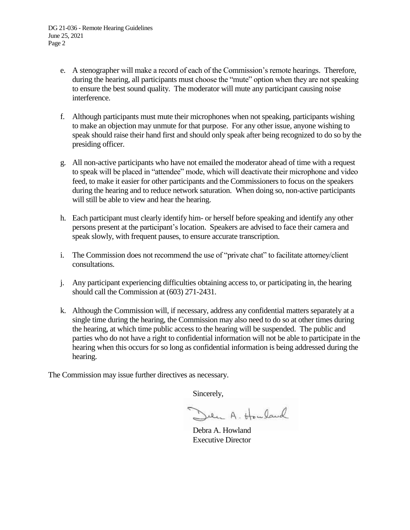- e. A stenographer will make a record of each of the Commission's remote hearings. Therefore, during the hearing, all participants must choose the "mute" option when they are not speaking to ensure the best sound quality. The moderator will mute any participant causing noise interference.
- f. Although participants must mute their microphones when not speaking, participants wishing to make an objection may unmute for that purpose. For any other issue, anyone wishing to speak should raise their hand first and should only speak after being recognized to do so by the presiding officer.
- g. All non-active participants who have not emailed the moderator ahead of time with a request to speak will be placed in "attendee" mode, which will deactivate their microphone and video feed, to make it easier for other participants and the Commissioners to focus on the speakers during the hearing and to reduce network saturation. When doing so, non-active participants will still be able to view and hear the hearing.
- h. Each participant must clearly identify him- or herself before speaking and identify any other persons present at the participant's location. Speakers are advised to face their camera and speak slowly, with frequent pauses, to ensure accurate transcription.
- i. The Commission does not recommend the use of "private chat" to facilitate attorney/client consultations.
- j. Any participant experiencing difficulties obtaining access to, or participating in, the hearing should call the Commission at (603) 271-2431.
- k. Although the Commission will, if necessary, address any confidential matters separately at a single time during the hearing, the Commission may also need to do so at other times during the hearing, at which time public access to the hearing will be suspended. The public and parties who do not have a right to confidential information will not be able to participate in the hearing when this occurs for so long as confidential information is being addressed during the hearing.

The Commission may issue further directives as necessary.

Sincerely,

Den A. Houland

Debra A. Howland Executive Director